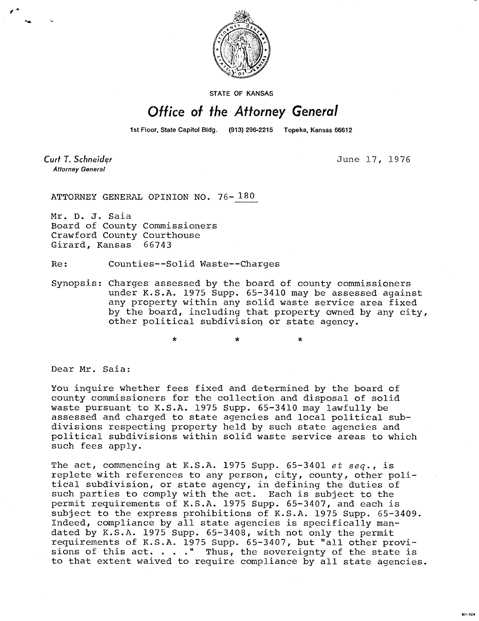

STATE OF KANSAS

## Office of the Attorney General

1st Floor, State Capitol Bldg. (913) 296-2215 Topeka, Kansas 66612

Curt T. Schneider **Attorney General** 

June 17, 1976

ATTORNEY GENERAL OPINION NO. 76- 180

Mr. D. J. Saia Board of County Commissioners Crawford County Courthouse Girard, Kansas 66743

Re: Counties--Solid Waste--Charges

 $\star$ 

Synopsis: Charges assessed by the board of county commissioners under K.S.A. 1975 Supp. 65-3410 may be assessed against any property within any solid waste service area fixed by the board, including that property owned by any city, other political subdivision or state agency.

 $\star$ 

Dear Mr. Saia:

You inquire whether fees fixed and determined by the board of county commissioners for the collection and disposal of solid waste pursuant to K.S.A. 1975 Supp. 65-3410 may lawfully be assessed and charged to state agencies and local political subdivisions respecting property held by such state agencies and political subdivisions within solid waste service areas to which such fees apply.

The act, commencing at K.S.A. 1975 Supp. 65-3401 et seq., is replete with references to any person, city, county, other political subdivision, or state agency, in defining the duties of such parties to comply with the act. Each is subject to the permit requirements of K.S.A. 1975 Supp. 65-3407, and each is subject to the express prohibitions of K.S.A. 1975 Supp. 65-3409. Indeed, compliance by all state agencies is specifically mandated by K.S.A. 1975 Supp. 65-3408, with not only the permit requirements of K.S.A. 1975 Supp. 65-3407, but "all other provisions of this act. . . . " Thus, the sovereignty of the state is to that extent waived to require compliance by all state agencies.